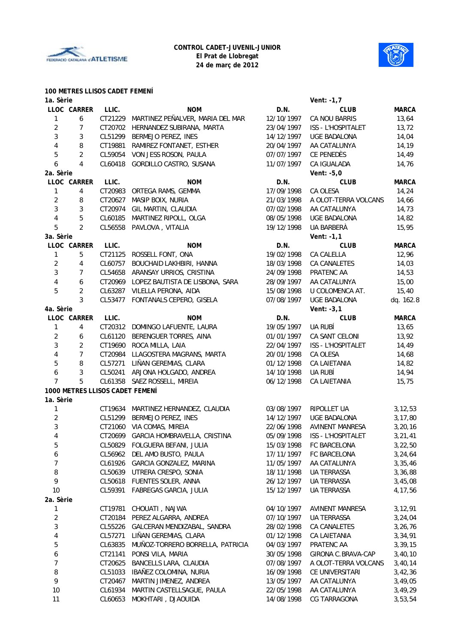



#### **100 METRES LLISOS CADET FEMENÍ**

| 1a. Sèrie               |                     |                                 |                                         |            | Vent: -1,7           |              |
|-------------------------|---------------------|---------------------------------|-----------------------------------------|------------|----------------------|--------------|
|                         | LLOC CARRER         | LLIC.                           | <b>NOM</b>                              | D.N.       | <b>CLUB</b>          | <b>MARCA</b> |
| 1                       | 6                   | CT21229                         | MARTINEZ PEÑALVER, MARIA DEL MAR        | 12/10/1997 | CA NOU BARRIS        | 13,64        |
| $\overline{2}$          | 7                   | CT20702                         | HERNANDEZ SUBIRANA, MARTA               | 23/04/1997 | ISS - L'HOSPITALET   | 13,72        |
| $\sqrt{3}$              | 3                   | CL51299                         | BERMEJO PEREZ, INES                     | 14/12/1997 | UGE BADALONA         | 14,04        |
| 4                       | 8                   | CT19881                         | RAMIREZ FONTANET, ESTHER                | 20/04/1997 | AA CATALUNYA         | 14,19        |
| 5                       | $\overline{2}$      | CL59054                         | VON JESS ROSON, PAULA                   | 07/07/1997 | CE PENEDÈS           | 14,49        |
| 6                       | $\overline{4}$      |                                 | CL60418 GORDILLO CASTRO, SUSANA         | 11/07/1997 | CA IGUALADA          | 14,76        |
| 2a. Sèrie               |                     |                                 |                                         |            | Vent: $-5,0$         |              |
|                         | LLOC CARRER         | LLIC.                           | <b>NOM</b>                              | D.N.       | <b>CLUB</b>          | <b>MARCA</b> |
| 1                       | 4                   |                                 | CT20983 ORTEGA RAMS, GEMMA              | 17/09/1998 | CA OLESA             | 14,24        |
| $\sqrt{2}$              | 8                   | CT20627                         | MASIP BOIX, NURIA                       | 21/03/1998 | A OLOT-TERRA VOLCANS | 14,66        |
| 3                       | 3                   | CT20974                         | GIL MARTIN, CLAUDIA                     | 07/02/1998 | AA CATALUNYA         | 14,73        |
| 4                       | 5                   | CL60185                         | MARTINEZ RIPOLL, OLGA                   | 08/05/1998 | UGE BADALONA         | 14,82        |
| 5                       | $\overline{2}$      |                                 | CL56558 PAVLOVA, VITALIA                | 19/12/1998 | UA BARBERÀ           | 15,95        |
| 3a. Sèrie               |                     |                                 |                                         |            | Vent: $-1,1$         |              |
|                         | LLOC CARRER         | LLIC.                           | <b>NOM</b>                              | D.N.       | <b>CLUB</b>          | <b>MARCA</b> |
| $\mathbf{1}$            | 5                   |                                 | CT21125 ROSSELL FONT, ONA               | 19/02/1998 | CA CALELLA           | 12,96        |
| $\overline{c}$          | 4                   | CL60757                         | BOUCHAID LAKHBIRI, HANNA                | 18/03/1998 | CA CANALETES         | 14,03        |
| 3                       | $\overline{7}$      |                                 | CL54658 ARANSAY URRIOS, CRISTINA        | 24/09/1998 | PRATENC AA           | 14,53        |
|                         | 6                   |                                 | CT20969 LOPEZ BAUTISTA DE LISBONA, SARA | 28/09/1997 |                      | 15,00        |
| 4                       |                     |                                 |                                         |            | AA CATALUNYA         |              |
| 5                       | $\overline{c}$<br>3 |                                 | CL63287 VILELLA PERONA, AIDA            | 15/08/1998 | U COLOMENCA AT.      | 15,40        |
|                         |                     |                                 | CL53477 FONTANALS CEPERO, GISELA        | 07/08/1997 | UGE BADALONA         | dq. 162.8    |
| 4a. Sèrie               |                     |                                 |                                         |            | Vent: $-3,1$         |              |
|                         | LLOC CARRER         | LLIC.                           | <b>NOM</b>                              | D.N.       | <b>CLUB</b>          | <b>MARCA</b> |
| 1                       | 4                   | CT20312                         | DOMINGO LAFUENTE, LAURA                 | 19/05/1997 | UA RUBÍ              | 13,65        |
| 2                       | 6                   | CL61120                         | BERENGUER TORRES, AINA                  | 01/01/1997 | CA SANT CELONI       | 13,92        |
| 3                       | $\overline{2}$      | CT19690                         | ROCA MILLA, LAIA                        | 22/04/1997 | ISS - L'HOSPITALET   | 14,49        |
| 4                       | $\overline{7}$      | CT20984                         | LLAGOSTERA MAGRANS, MARTA               | 20/01/1998 | CA OLESA             | 14,68        |
| 5                       | 8                   | CL57271                         | LIÑAN GEREMIAS, CLARA                   | 01/12/1998 | CA LAIETANIA         | 14,82        |
| 6                       | 3                   | CL50241                         | ARJONA HOLGADO, ANDREA                  | 14/10/1998 | UA RUBÍ              | 14,94        |
| 7                       | 5                   | CL61358                         | SAEZ ROSSELL, MIREIA                    | 06/12/1998 | CA LAIETANIA         | 15,75        |
|                         |                     | 1000 METRES LLISOS CADET FEMENÍ |                                         |            |                      |              |
| 1a. Sèrie               |                     |                                 |                                         |            |                      |              |
| 1                       |                     | CT19634                         | MARTINEZ HERNANDEZ, CLAUDIA             | 03/08/1997 | RIPOLLET UA          | 3, 12, 53    |
| $\overline{\mathbf{c}}$ |                     | CL51299                         | BERMEJO PEREZ, INES                     | 14/12/1997 | UGE BADALONA         | 3,17,80      |
| 3                       |                     | CT21060                         | VIA COMAS, MIREIA                       | 22/06/1998 | AVINENT MANRESA      | 3,20,16      |
| 4                       |                     |                                 | CT20699 GARCIA HOMBRAVELLA, CRISTINA    | 05/09/1998 | ISS - L'HOSPITALET   | 3, 21, 41    |
| 5                       |                     |                                 | CL50829 FOLGUERA BEFANI, JULIA          | 15/03/1998 | FC BARCELONA         | 3,22,50      |
| 6                       |                     |                                 | CL56962 DEL AMO BUSTO, PAULA            | 17/11/1997 | FC BARCELONA         | 3,24,64      |
| 7                       |                     |                                 | CL61926 GARCIA GONZALEZ, MARINA         | 11/05/1997 | AA CATALUNYA         | 3,35,46      |
| 8                       |                     |                                 | CL50639 UTRERA CRESPO, SONIA            | 18/11/1998 | UA TERRASSA          | 3,36,88      |
| 9                       |                     |                                 | CL50618 FUENTES SOLER, ANNA             | 26/12/1997 | UA TERRASSA          | 3,45,08      |
| $10$                    |                     |                                 | CL59391 FABREGAS GARCIA, JULIA          | 15/12/1997 | UA TERRASSA          | 4,17,56      |
| 2a. Sèrie               |                     |                                 |                                         |            |                      |              |
| 1                       |                     |                                 | CT19781 CHOUATI, NAJWA                  | 04/10/1997 | AVINENT MANRESA      | 3,12,91      |
| 2                       |                     | CT20184                         | PEREZ ALGARRA, ANDREA                   | 07/10/1997 | <b>UA TERRASSA</b>   | 3,24,04      |
| 3                       |                     | CL55226                         | GALCERAN MENDIZABAL, SANDRA             | 28/02/1998 | CA CANALETES         | 3,26,76      |
| 4                       |                     | CL57271                         | LIÑAN GEREMIAS, CLARA                   | 01/12/1998 | CA LAIETANIA         | 3,34,91      |
| 5                       |                     | CL63835                         | MUÑOZ-TORRERO BORRELLA, PATRICIA        | 04/03/1997 | PRATENC AA           | 3,39,15      |
| 6                       |                     | CT21141                         | PONSI VILA, MARIA                       | 30/05/1998 | GIRONA C.BRAVA-CAP   | 3,40,10      |
| $\overline{7}$          |                     | CT20625                         | BANCELLS LARA, CLAUDIA                  | 07/08/1997 | A OLOT-TERRA VOLCANS | 3,40,14      |
| 8                       |                     | CL51033                         | IBAÑEZ COLOMINA, NURIA                  | 16/09/1998 | CE UNIVERSITARI      | 3,42,36      |
| 9                       |                     | CT20467                         | MARTIN JIMENEZ, ANDREA                  | 13/05/1997 | AA CATALUNYA         | 3,49,05      |
| $10$                    |                     | CL61934                         | MARTIN CASTELLSAGUE, PAULA              | 22/05/1998 | AA CATALUNYA         | 3,49,29      |
| 11                      |                     |                                 | CL60653 MOKHTARI, DJAOUIDA              | 14/08/1998 | CG TARRAGONA         | 3,53,54      |
|                         |                     |                                 |                                         |            |                      |              |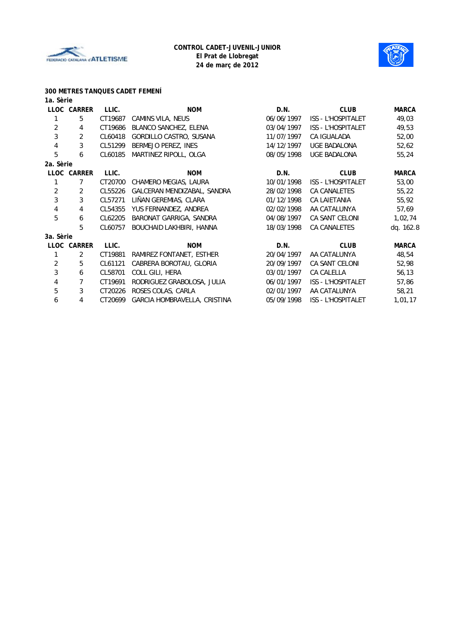



# **300 METRES TANQUES CADET FEMENÍ**

| 1a. Sèrie      |             |         |                               |            |                           |              |
|----------------|-------------|---------|-------------------------------|------------|---------------------------|--------------|
|                | LLOC CARRER | LLIC.   | <b>NOM</b>                    | D.N.       | <b>CLUB</b>               | <b>MARCA</b> |
| 1              | 5           | CT19687 | CAMINS VILA, NEUS             | 06/06/1997 | ISS - L'HOSPITALET        | 49,03        |
| $\overline{2}$ | 4           | CT19686 | BLANCO SANCHEZ, ELENA         | 03/04/1997 | <b>ISS - L'HOSPITALET</b> | 49,53        |
| 3              | 2           | CL60418 | GORDILLO CASTRO, SUSANA       | 11/07/1997 | CA IGUALADA               | 52,00        |
| $\overline{4}$ | 3           | CL51299 | BERMEJO PEREZ, INES           | 14/12/1997 | UGE BADALONA              | 52,62        |
| 5              | 6           | CL60185 | MARTINEZ RIPOLL, OLGA         | 08/05/1998 | UGE BADALONA              | 55,24        |
| 2a. Sèrie      |             |         |                               |            |                           |              |
|                | LLOC CARRER | LLIC.   | <b>NOM</b>                    | D.N.       | <b>CLUB</b>               | <b>MARCA</b> |
| $\mathbf{1}$   | 7           | CT20700 | CHAMERO MEGIAS, LAURA         | 10/01/1998 | ISS - L'HOSPITALET        | 53,00        |
| 2              | 2           | CL55226 | GALCERAN MENDIZABAL, SANDRA   | 28/02/1998 | <b>CA CANALETES</b>       | 55,22        |
| 3              | 3           | CL57271 | LIÑAN GEREMIAS, CLARA         | 01/12/1998 | <b>CA LAIETANIA</b>       | 55,92        |
| $\overline{4}$ | 4           |         | CL54355 YUS FERNANDEZ, ANDREA | 02/02/1998 | AA CATALUNYA              | 57,69        |
| 5              | 6           | CL62205 | BARONAT GARRIGA, SANDRA       | 04/08/1997 | <b>CA SANT CELONI</b>     | 1,02,74      |
|                | 5           | CL60757 | BOUCHAID LAKHBIRI, HANNA      | 18/03/1998 | CA CANALETES              | dq. 162.8    |
| 3a. Sèrie      |             |         |                               |            |                           |              |
|                | LLOC CARRER | LLIC.   | <b>NOM</b>                    | D.N.       | <b>CLUB</b>               | <b>MARCA</b> |
| 1              | 2           | CT19881 | RAMIREZ FONTANET, ESTHER      | 20/04/1997 | AA CATALUNYA              | 48,54        |
| $\overline{2}$ | 5           | CL61121 | CABRERA BOROTAU, GLORIA       | 20/09/1997 | <b>CA SANT CELONI</b>     | 52,98        |
| $\sqrt{3}$     | 6           | CL58701 | COLL GILI, HERA               | 03/01/1997 | CA CALELLA                | 56,13        |
| 4              | 7           | CT19691 | RODRIGUEZ GRABOLOSA, JULIA    | 06/01/1997 | <b>ISS - L'HOSPITALET</b> | 57,86        |
| 5              | 3           | CT20226 | ROSES COLAS, CARLA            | 02/01/1997 | AA CATALUNYA              | 58,21        |
| 6              | 4           | CT20699 | GARCIA HOMBRAVELLA, CRISTINA  | 05/09/1998 | <b>ISS - L'HOSPITALET</b> | 1,01,17      |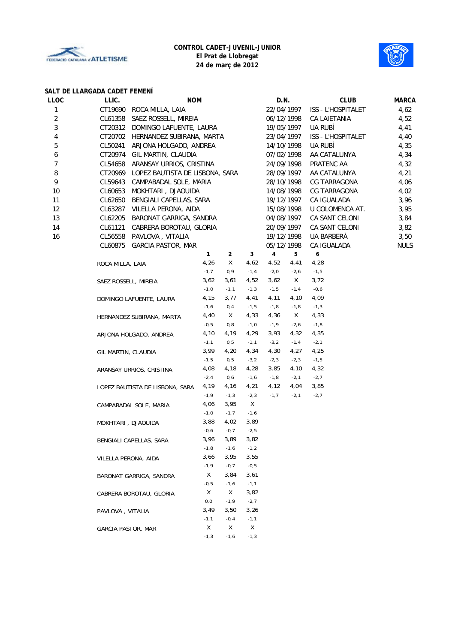



#### **SALT DE LLARGADA CADET FEMENÍ**

| LLOC           | LLIC.                                      | <b>NOM</b>               |                     |                | D.N.                                  |                 | <b>CLUB</b>               | <b>MARCA</b> |
|----------------|--------------------------------------------|--------------------------|---------------------|----------------|---------------------------------------|-----------------|---------------------------|--------------|
| 1              | CT19690<br>ROCA MILLA, LAIA                |                          |                     |                | 22/04/1997                            |                 | ISS - L'HOSPITALET        | 4,62         |
| 2              | CL61358<br>SAEZ ROSSELL, MIREIA            |                          |                     |                | 06/12/1998                            |                 | CA LAIETANIA              | 4,52         |
| 3              | CT20312 DOMINGO LAFUENTE, LAURA            |                          |                     |                | 19/05/1997                            |                 | UA RUBÍ                   | 4,41         |
| 4              | CT20702 HERNANDEZ SUBIRANA, MARTA          |                          |                     |                | 23/04/1997                            |                 | <b>ISS - L'HOSPITALET</b> | 4,40         |
| 5              | CL50241<br>ARJONA HOLGADO, ANDREA          |                          |                     |                | 14/10/1998                            |                 | UA RUBÍ                   | 4,35         |
| 6              | CT20974<br>GIL MARTIN, CLAUDIA             |                          |                     |                | 07/02/1998                            |                 | AA CATALUNYA              | 4,34         |
| $\overline{7}$ | ARANSAY URRIOS, CRISTINA<br>CL54658        |                          |                     |                | 24/09/1998                            |                 | PRATENC AA                | 4,32         |
| 8              | CT20969<br>LOPEZ BAUTISTA DE LISBONA, SARA |                          |                     |                | 28/09/1997                            |                 | AA CATALUNYA              | 4,21         |
| 9              | CL59643<br>CAMPABADAL SOLE, MARIA          |                          |                     |                | 28/10/1998                            |                 | CG TARRAGONA              | 4,06         |
| 10             | CL60653<br>MOKHTARI, DJAOUIDA              |                          |                     |                | 14/08/1998                            |                 | CG TARRAGONA              | 4,02         |
| 11             | CL62650                                    | BENGIALI CAPELLAS, SARA  |                     |                |                                       | 19/12/1997      | CA IGUALADA               | 3,96         |
| 12             | CL63287 VILELLA PERONA, AIDA               |                          |                     |                |                                       | 15/08/1998      | U COLOMENCA AT.           | 3,95         |
| 13             | CL62205<br>BARONAT GARRIGA, SANDRA         |                          |                     |                | 04/08/1997                            |                 | CA SANT CELONI            | 3,84         |
| 14             | CL61121<br>CABRERA BOROTAU, GLORIA         |                          |                     |                | 20/09/1997                            |                 | CA SANT CELONI            | 3,82         |
| 16             |                                            |                          |                     |                | 19/12/1998                            |                 | UA BARBERÀ                | 3,50         |
|                | CL60875 GARCIA PASTOR, MAR                 | CL56558 PAVLOVA, VITALIA |                     |                |                                       |                 | CA IGUALADA               | <b>NULS</b>  |
|                |                                            | 1                        |                     | 3              | 05/12/1998<br>$\overline{\mathbf{4}}$ | 5               | $\boldsymbol{6}$          |              |
|                |                                            | 4,26                     | $\overline{2}$<br>X | 4,62           | 4,52                                  | 4,41            | 4,28                      |              |
|                | ROCA MILLA, LAIA                           | $-1,7$                   | 0, 9                | $-1, 4$        | $-2, 0$                               | $-2, 6$         | $-1,5$                    |              |
|                |                                            | 3,62                     | 3,61                | 4,52           | 3,62                                  | X.              | 3,72                      |              |
|                | SAEZ ROSSELL, MIREIA                       | $-1,0$                   | $-1, 1$             | $-1,3$         | $-1,5$                                | $-1, 4$         | $-0,6$                    |              |
|                |                                            | 4,15                     | 3,77                | 4,41           | 4,11                                  | 4,10            | 4,09                      |              |
|                | DOMINGO LAFUENTE, LAURA                    | $-1, 6$                  | 0,4                 | $-1,5$         | $-1,8$                                | $-1,8$          | $-1,3$                    |              |
|                |                                            | 4,40                     | X                   | 4,33           | 4,36                                  | X.              | 4,33                      |              |
|                | HERNANDEZ SUBIRANA, MARTA                  |                          |                     | $-1,0$         |                                       |                 |                           |              |
|                |                                            | $-0,5$<br>4,10           | 0,8<br>4,19         | 4,29           | $-1, 9$<br>3,93                       | $-2, 6$<br>4,32 | $-1,8$<br>4,35            |              |
|                | ARJONA HOLGADO, ANDREA                     |                          | 0, 5                | $-1, 1$        | $-3,2$                                | $-1, 4$         | $-2, 1$                   |              |
|                |                                            | $-1, 1$<br>3,99          | 4,20                | 4,34           | 4,30                                  | 4,27            | 4,25                      |              |
|                | GIL MARTIN, CLAUDIA                        | $-1,5$                   | 0, 5                | $-3,2$         | $-2, 3$                               | $-2,3$          | $-1,5$                    |              |
|                |                                            |                          |                     | 4,28           | 3,85                                  |                 |                           |              |
|                | ARANSAY URRIOS, CRISTINA                   | 4,08<br>$-2, 4$          | 4,18<br>0,6         |                | $-1,8$                                | 4,10<br>$-2, 1$ | 4,32<br>$-2,7$            |              |
|                |                                            |                          |                     | $-1,6$         |                                       |                 |                           |              |
|                | LOPEZ BAUTISTA DE LISBONA, SARA            | 4,19                     | 4,16                | 4,21           | 4,12                                  | 4,04            | 3,85                      |              |
|                |                                            | $-1, 9$                  | $-1,3$              | $-2, 3$<br>X   | $-1,7$                                | $-2, 1$         | $-2,7$                    |              |
|                | CAMPABADAL SOLE, MARIA                     | 4,06<br>$-1,0$           | 3,95<br>$-1, 7$     |                |                                       |                 |                           |              |
|                |                                            | 3,88                     | 4,02                | $-1,6$         |                                       |                 |                           |              |
|                | MOKHTARI, DJAOUIDA                         | $-0,6$                   | $-0, 7$             | 3,89           |                                       |                 |                           |              |
|                |                                            |                          |                     | $-2,5$<br>3,82 |                                       |                 |                           |              |
|                | BENGIALI CAPELLAS, SARA                    | 3,96                     | 3,89                |                |                                       |                 |                           |              |
|                |                                            | $-1,8$                   | $-1,6$              | $-1,2$         |                                       |                 |                           |              |
|                | VILELLA PERONA, AIDA                       | 3,66                     | 3,95                | 3,55           |                                       |                 |                           |              |
|                |                                            | $-1, 9$                  | $-0, 7$             | $-0,5$         |                                       |                 |                           |              |
|                | BARONAT GARRIGA, SANDRA                    | X                        | 3,84                | 3,61           |                                       |                 |                           |              |
|                |                                            | $-0,5$                   | $-1,6$              | $-1, 1$        |                                       |                 |                           |              |
|                | CABRERA BOROTAU, GLORIA                    | X                        | Χ                   | 3,82           |                                       |                 |                           |              |
|                |                                            | O, O                     | $-1, 9$             | $-2,7$         |                                       |                 |                           |              |
|                | PAVLOVA, VITALIA                           | 3,49                     | 3,50                | 3,26           |                                       |                 |                           |              |
|                |                                            | $-1, 1$                  | $-0, 4$             | $-1,1$         |                                       |                 |                           |              |
|                | GARCIA PASTOR, MAR                         | Χ                        | Χ                   | Χ              |                                       |                 |                           |              |
|                |                                            | $-1,3$                   | $-1,6$              | $-1,3$         |                                       |                 |                           |              |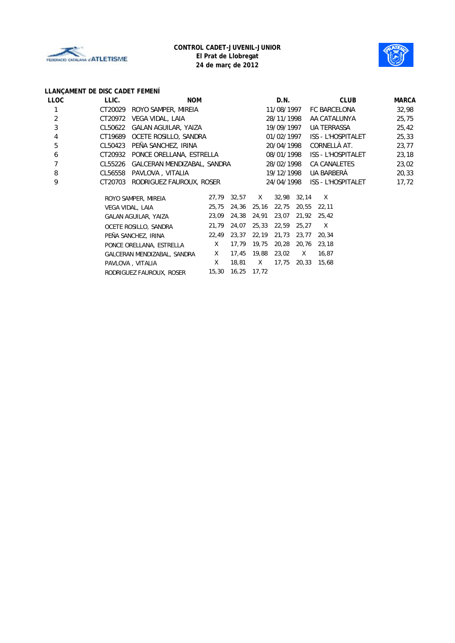



# **LLANÇAMENT DE DISC CADET FEMENÍ**

| LLOC | LLIC.   | <b>NOM</b>                  |       |       |       | D.N.       |             | <b>CLUB</b>               | <b>MARCA</b> |
|------|---------|-----------------------------|-------|-------|-------|------------|-------------|---------------------------|--------------|
|      | CT20029 | ROYO SAMPER, MIREIA         |       |       |       | 11/08/1997 |             | FC BARCELONA              | 32,98        |
| 2    | CT20972 | VEGA VIDAL, LAIA            |       |       |       | 28/11/1998 |             | AA CATALUNYA              | 25,75        |
| 3    | CL50622 | GALAN AGUILAR, YAIZA        |       |       |       | 19/09/1997 |             | <b>UA TERRASSA</b>        | 25,42        |
| 4    | CT19689 | OCETE ROSILLO, SANDRA       |       |       |       | 01/02/1997 |             | ISS - L'HOSPITALET        | 25,33        |
| 5    | CL50423 | PEÑA SANCHEZ, IRINA         |       |       |       | 20/04/1998 |             | CORNELLÀ AT.              | 23,77        |
| 6    | CT20932 | PONCE ORELLANA, ESTRELLA    |       |       |       | 08/01/1998 |             | <b>ISS - L'HOSPITALET</b> | 23,18        |
| 7    | CL55226 | GALCERAN MENDIZABAL, SANDRA |       |       |       | 28/02/1998 |             | CA CANALETES              | 23,02        |
| 8    | CL56558 | PAVLOVA, VITALIA            |       |       |       | 19/12/1998 |             | UA BARBERÀ                | 20,33        |
| 9    | CT20703 | RODRIGUEZ FAUROUX, ROSER    |       |       |       | 24/04/1998 |             | <b>ISS - L'HOSPITALET</b> | 17,72        |
|      |         | ROYO SAMPER, MIREIA         | 27,79 | 32,57 | X.    |            | 32,98 32,14 | X                         |              |
|      |         | VEGA VIDAL, LAIA            | 25,75 | 24,36 | 25,16 | 22,75      | 20,55       | 22,11                     |              |
|      |         | GALAN AGUILAR, YAIZA        | 23,09 | 24,38 | 24,91 | 23,07      | 21,92       | 25,42                     |              |
|      |         | OCETE ROSILLO, SANDRA       | 21,79 | 24,07 | 25,33 | 22,59      | 25,27       | X                         |              |
|      |         | PEÑA SANCHEZ, IRINA         | 22,49 | 23,37 | 22,19 | 21,73      | 23,77       | 20,34                     |              |
|      |         | PONCE ORELLANA, ESTRELLA    | X     | 17,79 | 19,75 | 20,28      | 20,76       | 23,18                     |              |
|      |         | GALCERAN MENDIZABAL, SANDRA | X     | 17,45 | 19,88 | 23,02      | X           | 16,87                     |              |
|      |         | PAVLOVA, VITALIA            | Χ     | 18,81 | X.    | 17,75      | 20,33       | 15,68                     |              |
|      |         | RODRIGUEZ FAUROUX, ROSER    | 15,30 | 16,25 | 17,72 |            |             |                           |              |
|      |         |                             |       |       |       |            |             |                           |              |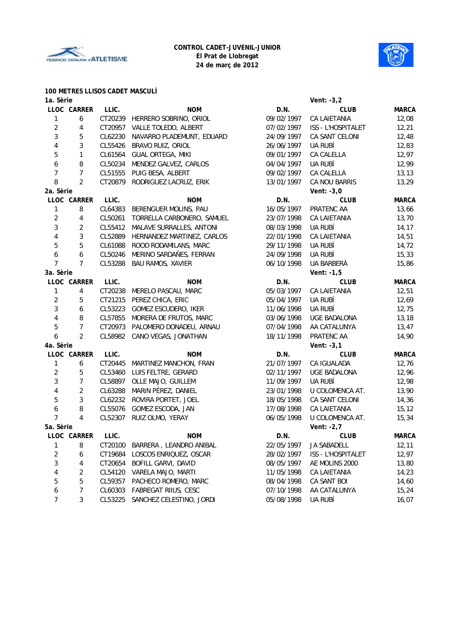



#### **100 METRES LLISOS CADET MASCULÍ**

| 1a. Sèrie               |                |         |                                  |            | Vent: -3,2         |              |
|-------------------------|----------------|---------|----------------------------------|------------|--------------------|--------------|
|                         | LLOC CARRER    | LLIC.   | <b>NOM</b>                       | D.N.       | <b>CLUB</b>        | <b>MARCA</b> |
| $\mathbf{1}$            | 6              | CT20239 | HERRERO SOBRINO, ORIOL           | 09/02/1997 | CA LAIETANIA       | 12,08        |
| $\overline{\mathbf{c}}$ | 4              | CT20957 | VALLE TOLEDO, ALBERT             | 07/02/1997 | ISS - L'HOSPITALET | 12,21        |
| 3                       | 5              | CL62230 | NAVARRO PLADEMUNT, EDUARD        | 24/09/1997 | CA SANT CELONI     | 12,48        |
| $\overline{\mathbf{4}}$ | 3              | CL55426 | BRAVO RUIZ, ORIOL                | 26/06/1997 | UA RUBÍ            | 12,83        |
| 5                       | 1              | CL61564 | GUAL ORTEGA, MIKI                | 09/01/1997 | CA CALELLA         | 12,97        |
| 6                       | 8              | CL50234 | MENDEZ GALVEZ, CARLOS            | 04/04/1997 | UA RUBÍ            | 12,99        |
| 7                       | $\overline{7}$ | CL51555 | PUIG BESA, ALBERT                | 09/02/1997 | CA CALELLA         | 13, 13       |
| 8                       | $\overline{2}$ | CT20879 | RODRIGUEZ LACRUZ, ERIK           | 13/01/1997 | CA NOU BARRIS      | 13,29        |
| 2a. Sèrie               |                |         |                                  |            | Vent: $-3,0$       |              |
|                         | LLOC CARRER    | LLIC.   | <b>NOM</b>                       | D.N.       | <b>CLUB</b>        | <b>MARCA</b> |
| 1                       | 8              | CL64383 | BERENGUER MOLINS, PAU            | 16/05/1997 | PRATENC AA         | 13,66        |
| $\overline{c}$          | 4              | CL50261 | TORRELLA CARBONERO, SAMUEL       | 23/07/1998 | CA LAIETANIA       | 13,70        |
| 3                       | $\overline{2}$ | CL55412 | MALAVE SURRALLES, ANTONI         | 08/03/1998 | UA RUBÍ            | 14,17        |
| $\overline{\mathbf{4}}$ | 3              | CL52889 | HERNANDEZ MARTINEZ, CARLOS       | 22/01/1998 | CA LAIETANIA       | 14,51        |
| 5                       | 5              | CL61088 | ROOD RODAMILANS, MARC            | 29/11/1998 | ua rubí            | 14,72        |
| 6                       | 6              | CL50246 | MERINO SARDAÑES, FERRAN          | 24/09/1998 | UA RUBÍ            | 15,33        |
| $\overline{7}$          | 7              | CL53288 | <b>BAU RAMOS, XAVIER</b>         | 06/10/1998 | UA BARBERÀ         | 15,86        |
| 3a. Sèrie               |                |         |                                  |            | Vent: $-1,5$       |              |
|                         | LLOC CARRER    | LLIC.   | <b>NOM</b>                       | D.N.       | <b>CLUB</b>        | <b>MARCA</b> |
| $\mathbf{1}$            | 4              | CT20238 | MERELO PASCAU, MARC              | 05/03/1997 | CA LAIETANIA       | 12,51        |
| $\overline{c}$          | 5              | CT21215 | PEREZ CHICA, ERIC                | 05/04/1997 | UA RUBÍ            | 12,69        |
| 3                       | 6              | CL53223 | GOMEZ ESCUDERO, IKER             | 11/06/1998 | UA RUBÍ            | 12,75        |
| $\overline{\mathbf{4}}$ | $\, 8$         | CL57855 | MORERA DE FRUTOS, MARC           | 03/06/1998 | UGE BADALONA       | 13,18        |
| 5                       | $\overline{7}$ | CT20973 | PALOMERO DONADEU, ARNAU          | 07/04/1998 | AA CATALUNYA       | 13,47        |
| 6                       | $\overline{2}$ | CL58982 | CANO VEGAS, JONATHAN             | 18/11/1998 | PRATENC AA         | 14,90        |
| 4a. Sèrie               |                |         |                                  |            | Vent: $-3,1$       |              |
|                         | LLOC CARRER    | LLIC.   | <b>NOM</b>                       | D.N.       | <b>CLUB</b>        | <b>MARCA</b> |
| $\mathbf{1}$            | 6              | CT20445 | MARTINEZ MANCHON, FRAN           | 21/07/1997 | CA IGUALADA        | 12,76        |
| $\overline{\mathbf{c}}$ | 5              | CL53460 | LUIS FELTRE, GERARD              | 02/11/1997 | UGE BADALONA       | 12,96        |
| 3                       | 7              | CL58897 | OLLE MAJO, GUILLEM               | 11/09/1997 | UA RUBÍ            | 12,98        |
| $\overline{4}$          | $\overline{2}$ | CL63288 | MARIN PÉREZ, DANIEL              | 23/01/1998 | U COLOMENCA AT.    | 13,90        |
| 5                       | 3              | CL62232 | ROVIRA PORTET, JOEL              | 18/05/1998 | CA SANT CELONI     | 14,36        |
| 6                       | 8              | CL55076 | GOMEZ ESCODA, JAN                | 17/08/1998 | CA LAIETANIA       | 15, 12       |
| $\overline{7}$          | 4              | CL52307 | RUIZ OLMO, YERAY                 | 06/05/1998 | U COLOMENCA AT.    | 15,34        |
| 5a. Sèrie               |                |         |                                  |            | Vent: -2,7         |              |
|                         | LLOC CARRER    | LLIC.   | <b>NOM</b>                       | D.N.       | <b>CLUB</b>        | <b>MARCA</b> |
| $\mathbf{1}$            | 8              | CT20100 | BARRERA, LEANDRO ANIBAL          | 22/05/1997 | JA SABADELL        | 12, 11       |
| $\overline{\mathbf{c}}$ | 6              | CT19684 | LOSCOS ENRIQUEZ, OSCAR           | 28/02/1997 | ISS - L'HOSPITALET | 12,97        |
| 3                       | 4              | CT20654 | BOFILL GARVI, DAVID              | 08/05/1997 | AE MOLINS 2000     | 13,80        |
| 4                       | 2              | CL54120 | VARELA MAJO, MARTI               | 11/05/1998 | CA LAIETANIA       | 14,23        |
| 5                       | 5              | CL59357 | PACHECO ROMERO, MARC             | 08/04/1998 | CA SANT BOI        | 14,60        |
| 6                       | 7              | CL60303 | FABREGAT RIIUS, CESC             | 07/10/1998 | AA CATALUNYA       | 15,24        |
| $\overline{7}$          | 3              |         | CL53225 SANCHEZ CELESTINO, JORDI | 05/08/1998 | UA RUBÍ            | 16,07        |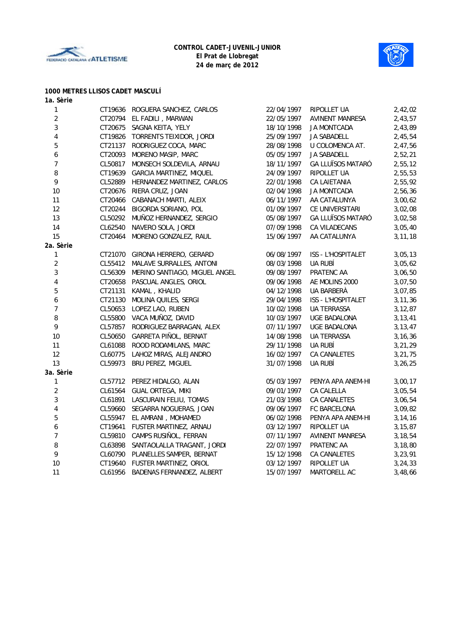



# **1000 METRES LLISOS CADET MASCULÍ**

| 1a. Sèrie               |         |                                       |            |                          |           |
|-------------------------|---------|---------------------------------------|------------|--------------------------|-----------|
| $\mathbf{1}$            |         | CT19636 ROGUERA SANCHEZ, CARLOS       | 22/04/1997 | RIPOLLET UA              | 2,42,02   |
| $\sqrt{2}$              |         | CT20794 EL FADILI, MARWAN             | 22/05/1997 | <b>AVINENT MANRESA</b>   | 2,43,57   |
| 3                       |         | CT20675 SAGNA KEITA, YELY             | 18/10/1998 | JA MONTCADA              | 2,43,89   |
| $\overline{\mathbf{4}}$ |         | CT19826 TORRENTS TEIXIDOR, JORDI      | 25/09/1997 | <b>JA SABADELL</b>       | 2,45,54   |
| $\mathbf 5$             |         | CT21137 RODRIGUEZ COCA, MARC          | 28/08/1998 | U COLOMENCA AT.          | 2,47,56   |
| $\boldsymbol{6}$        | CT20093 | MORENO MASIP, MARC                    | 05/05/1997 | <b>JA SABADELL</b>       | 2,52,21   |
| $\overline{7}$          | CL50817 | MONSECH SOLDEVILA, ARNAU              | 18/11/1997 | <b>GA LLUÏSOS MATARÓ</b> | 2,55,12   |
| $\, 8$                  | CT19639 | GARCIA MARTINEZ, MIQUEL               | 24/09/1997 | RIPOLLET UA              | 2,55,53   |
| 9                       |         | CL52889 HERNANDEZ MARTINEZ, CARLOS    | 22/01/1998 | CA LAIETANIA             | 2,55,92   |
| 10                      |         | CT20676 RIERA CRUZ, JOAN              | 02/04/1998 | JA MONTCADA              | 2,56,36   |
| 11                      | CT20466 | CABANACH MARTI, ALEIX                 | 06/11/1997 | AA CATALUNYA             | 3,00,62   |
| 12                      | CT20244 | BIGORDA SORIANO, POL                  | 01/09/1997 | CE UNIVERSITARI          | 3,02,08   |
| 13                      |         | CL50292 MUÑOZ HERNANDEZ, SERGIO       | 05/08/1997 | <b>GA LLUÏSOS MATARO</b> | 3,02,58   |
| 14                      |         | CL62540 NAVERO SOLA, JORDI            | 07/09/1998 | CA VILADECANS            | 3,05,40   |
| 15                      |         | CT20464 MORENO GONZALEZ, RAUL         | 15/06/1997 | AA CATALUNYA             | 3, 11, 18 |
| 2a. Sèrie               |         |                                       |            |                          |           |
| $\mathbf{1}$            |         | CT21070 GIRONA HERRERO, GERARD        | 06/08/1997 | ISS - L'HOSPITALET       | 3,05,13   |
| $\overline{2}$          |         | CL55412 MALAVE SURRALLES, ANTONI      | 08/03/1998 | UA RUBÍ                  | 3,05,62   |
| $\mathfrak{Z}$          |         | CL56309 MERINO SANTIAGO, MIGUEL ANGEL | 09/08/1997 | PRATENC AA               | 3,06,50   |
| $\overline{\mathbf{4}}$ |         | CT20658 PASCUAL ANGLES, ORIOL         | 09/06/1998 | AE MOLINS 2000           | 3,07,50   |
| $\mathbf 5$             |         | CT21131 KAMAL, KHALID                 | 04/12/1998 | UA BARBERÀ               | 3,07,85   |
| $\boldsymbol{6}$        |         | CT21130 MOLINA QUILES, SERGI          | 29/04/1998 | ISS - L'HOSPITALET       | 3, 11, 36 |
| $\overline{7}$          |         | CL50653 LOPEZ LAO, RUBEN              | 10/02/1998 | <b>UA TERRASSA</b>       | 3, 12, 87 |
| $\, 8$                  |         | CL55800 VACA MUÑOZ, DAVID             | 10/03/1997 | UGE BADALONA             | 3, 13, 41 |
| 9                       | CL57857 | RODRIGUEZ BARRAGAN, ALEX              | 07/11/1997 | UGE BADALONA             | 3, 13, 47 |
| 10                      |         | CL50650 GARRETA PIÑOL, BERNAT         | 14/08/1998 | <b>UA TERRASSA</b>       | 3, 16, 36 |
| 11                      | CL61088 | ROOD RODAMILANS, MARC                 | 29/11/1998 | UA RUBÍ                  | 3,21,29   |
| 12                      |         | CL60775 LAHOZ MIRAS, ALEJANDRO        | 16/02/1997 | CA CANALETES             | 3,21,75   |
| 13                      | CL59973 | BRU PEREZ, MIGUEL                     | 31/07/1998 | UA RUBÍ                  | 3,26,25   |
| 3a. Sèrie               |         |                                       |            |                          |           |
| $\mathbf{1}$            |         | CL57712 PEREZ HIDALGO, ALAN           | 05/03/1997 | PENYA APA ANEM-HI        | 3,00,17   |
| $\overline{2}$          |         | CL61564 GUAL ORTEGA, MIKI             | 09/01/1997 | CA CALELLA               | 3,05,54   |
| $\sqrt{3}$              |         | CL61891 LASCURAIN FELIU, TOMAS        | 21/03/1998 | CA CANALETES             | 3,06,54   |
| $\overline{\mathbf{4}}$ |         | CL59660 SEGARRA NOGUERAS, JOAN        | 09/06/1997 | FC BARCELONA             | 3,09,82   |
| $\sqrt{5}$              |         | CL55947 EL AMRANI, MOHAMED            | 06/02/1998 | PENYA APA ANEM-HI        | 3,14,16   |
| $\boldsymbol{6}$        |         | CT19641 FUSTER MARTINEZ, ARNAU        | 03/12/1997 | RIPOLLET UA              | 3, 15, 87 |
| $\boldsymbol{7}$        |         | CL59810 CAMPS RUSINOL, FERRAN         | 07/11/1997 | AVINENT MANRESA          | 3,18,54   |
| $\, 8$                  |         | CL63898 SANTAOLALLA TRAGANT, JORDI    | 22/07/1997 | PRATENC AA               | 3,18,80   |
| 9                       |         | CL60790 PLANELLES SAMPER, BERNAT      | 15/12/1998 | CA CANALETES             | 3,23,91   |
| 10                      |         | CT19640 FUSTER MARTINEZ, ORIOL        | 03/12/1997 | RIPOLLET UA              | 3,24,33   |
| 11                      |         | CL61956 BADENAS FERNANDEZ, ALBERT     | 15/07/1997 | MARTORELL AC             | 3,48,66   |
|                         |         |                                       |            |                          |           |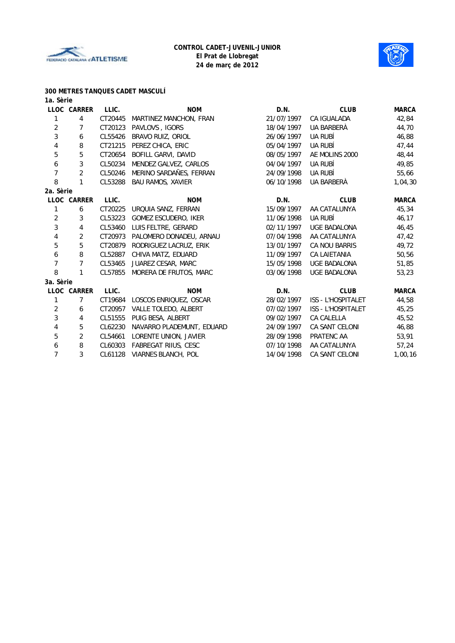



#### **300 METRES TANQUES CADET MASCULÍ**

| 1a. Sèrie  |                |         |                             |            |                           |              |
|------------|----------------|---------|-----------------------------|------------|---------------------------|--------------|
|            | LLOC CARRER    | LLIC.   | <b>NOM</b>                  | D.N.       | <b>CLUB</b>               | <b>MARCA</b> |
| 1          | 4              | CT20445 | MARTINEZ MANCHON, FRAN      | 21/07/1997 | <b>CA IGUALADA</b>        | 42,84        |
| 2          | 7              | CT20123 | PAVLOVS, IGORS              | 18/04/1997 | UA BARBERÀ                | 44,70        |
| $\sqrt{3}$ | 6              | CL55426 | BRAVO RUIZ, ORIOL           | 26/06/1997 | UA RUBÍ                   | 46,88        |
| 4          | 8              | CT21215 | PEREZ CHICA, ERIC           | 05/04/1997 | UA RUBÍ                   | 47,44        |
| 5          | 5              | CT20654 | BOFILL GARVI, DAVID         | 08/05/1997 | AE MOLINS 2000            | 48,44        |
| 6          | 3              | CL50234 | MENDEZ GALVEZ, CARLOS       | 04/04/1997 | UA RUBÍ                   | 49,85        |
| 7          | 2              | CL50246 | MERINO SARDAÑES, FERRAN     | 24/09/1998 | UA RUBÍ                   | 55,66        |
| 8          | 1              | CL53288 | <b>BAU RAMOS, XAVIER</b>    | 06/10/1998 | UA BARBERÀ                | 1,04,30      |
| 2a. Sèrie  |                |         |                             |            |                           |              |
|            | LLOC CARRER    | LLIC.   | <b>NOM</b>                  | D.N.       | <b>CLUB</b>               | <b>MARCA</b> |
| 1          | 6              | CT20225 | URQUIA SANZ, FERRAN         | 15/09/1997 | AA CATALUNYA              | 45,34        |
| 2          | 3              | CL53223 | GOMEZ ESCUDERO, IKER        | 11/06/1998 | UA RUBÍ                   | 46,17        |
| 3          | 4              | CL53460 | LUIS FELTRE, GERARD         | 02/11/1997 | UGE BADALONA              | 46,45        |
| 4          | 2              | CT20973 | PALOMERO DONADEU, ARNAU     | 07/04/1998 | AA CATALUNYA              | 47,42        |
| 5          | 5              | CT20879 | RODRIGUEZ LACRUZ, ERIK      | 13/01/1997 | CA NOU BARRIS             | 49,72        |
| 6          | 8              | CL52887 | CHIVA MATZ, EDUARD          | 11/09/1997 | CA LAIETANIA              | 50,56        |
| 7          | 7              | CL53465 | JUAREZ CESAR, MARC          | 15/05/1998 | <b>UGE BADALONA</b>       | 51,85        |
| 8          | 1              | CL57855 | MORERA DE FRUTOS, MARC      | 03/06/1998 | <b>UGE BADALONA</b>       | 53,23        |
| 3a. Sèrie  |                |         |                             |            |                           |              |
|            | LLOC CARRER    | LLIC.   | <b>NOM</b>                  | D.N.       | <b>CLUB</b>               | <b>MARCA</b> |
| 1          | 7              | CT19684 | LOSCOS ENRIQUEZ, OSCAR      | 28/02/1997 | ISS - L'HOSPITALET        | 44,58        |
| $\sqrt{2}$ | 6              | CT20957 | VALLE TOLEDO, ALBERT        | 07/02/1997 | <b>ISS - L'HOSPITALET</b> | 45,25        |
| 3          | 4              | CL51555 | PUIG BESA, ALBERT           | 09/02/1997 | <b>CA CALELLA</b>         | 45,52        |
| 4          | 5              | CL62230 | NAVARRO PLADEMUNT, EDUARD   | 24/09/1997 | CA SANT CELONI            | 46,88        |
| 5          | $\overline{2}$ | CL54661 | LORENTE UNION, JAVIER       | 28/09/1998 | PRATENC AA                | 53,91        |
| 6          | 8              | CL60303 | <b>FABREGAT RIIUS, CESC</b> | 07/10/1998 | AA CATALUNYA              | 57,24        |
| 7          | 3              | CL61128 | <b>VIARNES BLANCH, POL</b>  | 14/04/1998 | CA SANT CELONI            | 1,00,16      |
|            |                |         |                             |            |                           |              |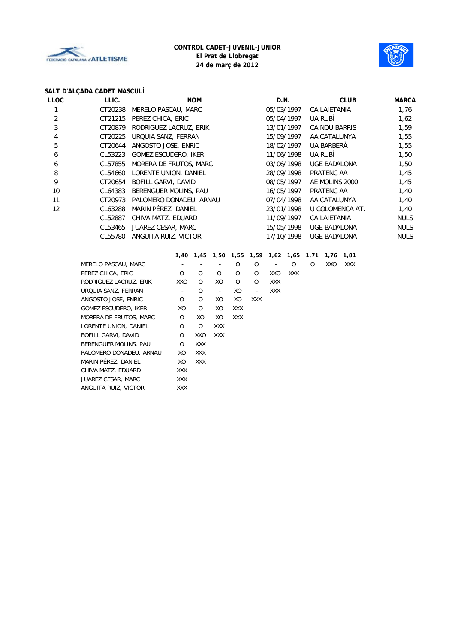



# **SALT D'ALÇADA CADET MASCULÍ**

| LLOC | LLIC.   | <b>NOM</b>                  | D.N.       | <b>CLUB</b>         | <b>MARCA</b> |
|------|---------|-----------------------------|------------|---------------------|--------------|
|      | CT20238 | MERELO PASCAU, MARC         | 05/03/1997 | CA LAIETANIA        | 1,76         |
| 2    | CT21215 | PEREZ CHICA, ERIC           | 05/04/1997 | UA RUBÍ             | 1,62         |
| 3    | CT20879 | RODRIGUEZ LACRUZ, ERIK      | 13/01/1997 | CA NOU BARRIS       | 1,59         |
| 4    | CT20225 | URQUIA SANZ, FERRAN         | 15/09/1997 | AA CATALUNYA        | 1,55         |
| 5    | CT20644 | ANGOSTO JOSE, ENRIC         | 18/02/1997 | UA BARBERÀ          | 1,55         |
| 6    | CL53223 | <b>GOMEZ ESCUDERO, IKER</b> | 11/06/1998 | UA RUBÍ             | 1,50         |
| 6    | CL57855 | MORERA DE FRUTOS, MARC      | 03/06/1998 | <b>UGE BADALONA</b> | 1,50         |
| 8    | CL54660 | LORENTE UNION, DANIEL       | 28/09/1998 | PRATENC AA          | 1,45         |
| 9    | CT20654 | BOFILL GARVI, DAVID         | 08/05/1997 | AE MOLINS 2000      | 1,45         |
| 10   | CL64383 | BERENGUER MOLINS, PAU       | 16/05/1997 | PRATENC AA          | 1,40         |
| 11   | CT20973 | PALOMERO DONADEU, ARNAU     | 07/04/1998 | AA CATALUNYA        | 1,40         |
| 12   | CL63288 | MARIN PÉREZ, DANIEL         | 23/01/1998 | U COLOMENCA AT.     | 1,40         |
|      | CL52887 | CHIVA MATZ, EDUARD          | 11/09/1997 | <b>CA LAIETANIA</b> | <b>NULS</b>  |
|      | CL53465 | JUAREZ CESAR, MARC          | 15/05/1998 | <b>UGE BADALONA</b> | <b>NULS</b>  |
|      | CL55780 | ANGUITA RUIZ, VICTOR        | 17/10/1998 | UGE BADALONA        | <b>NULS</b>  |
|      |         |                             |            |                     |              |

|                         |            |            |                          |            | 1,40 1,45 1,50 1,55 1,59 1,62 1,65 1,71 |            |            |   | 1,76 | 1,81       |
|-------------------------|------------|------------|--------------------------|------------|-----------------------------------------|------------|------------|---|------|------------|
| MERELO PASCAU, MARC     |            |            |                          | 0          | O                                       |            | O          | O | XXO  | <b>XXX</b> |
| PEREZ CHICA, ERIC       | $\Omega$   | O          | $\Omega$                 | O          | O                                       | XXO        | <b>XXX</b> |   |      |            |
| RODRIGUEZ LACRUZ, ERIK  | XXO        | $\Omega$   | XO                       | $\Omega$   | $\Omega$                                | <b>XXX</b> |            |   |      |            |
| URQUIA SANZ, FERRAN     | Ξ.         | O          | $\overline{\phantom{a}}$ | XO         | $\overline{a}$                          | <b>XXX</b> |            |   |      |            |
| ANGOSTO JOSE, ENRIC     | O          | O          | XO                       | XO         | <b>XXX</b>                              |            |            |   |      |            |
| GOMEZ ESCUDERO, IKER    | XO         | O          | XO                       | <b>XXX</b> |                                         |            |            |   |      |            |
| MORERA DE FRUTOS, MARC  | O          | XO         | XO.                      | <b>XXX</b> |                                         |            |            |   |      |            |
| LORENTE UNION, DANIEL   | O          | O          | <b>XXX</b>               |            |                                         |            |            |   |      |            |
| BOFILL GARVI, DAVID     | $\Omega$   | XXO        | <b>XXX</b>               |            |                                         |            |            |   |      |            |
| BERENGUER MOLINS, PAU   | $\Omega$   | <b>XXX</b> |                          |            |                                         |            |            |   |      |            |
| PALOMERO DONADEU, ARNAU | XO         | <b>XXX</b> |                          |            |                                         |            |            |   |      |            |
| MARIN PÉREZ, DANIEL     | XO         | <b>XXX</b> |                          |            |                                         |            |            |   |      |            |
| CHIVA MATZ, EDUARD      | <b>XXX</b> |            |                          |            |                                         |            |            |   |      |            |
| JUAREZ CESAR, MARC      | <b>XXX</b> |            |                          |            |                                         |            |            |   |      |            |
| ANGUITA RUIZ, VICTOR    | <b>XXX</b> |            |                          |            |                                         |            |            |   |      |            |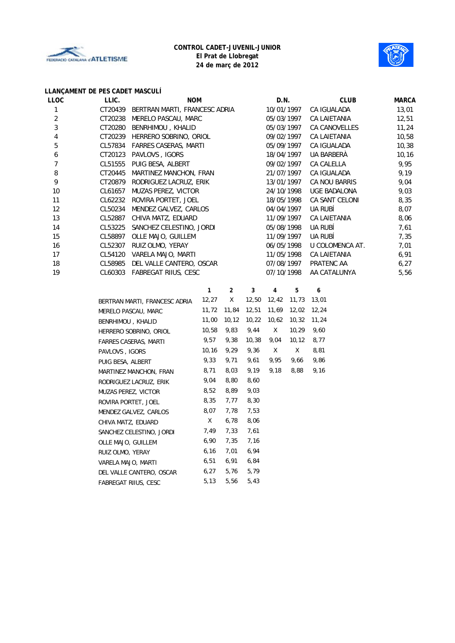



# **LLANÇAMENT DE PES CADET MASCULÍ**

| LLOC | LLIC.   | <b>NOM</b>                    | D.N.        | <b>CLUB</b>           | <b>MARCA</b> |
|------|---------|-------------------------------|-------------|-----------------------|--------------|
|      | CT20439 | BERTRAN MARTI, FRANCESC ADRIA | 10/01/1997  | CA IGUALADA           | 13,01        |
| 2    | CT20238 | MERELO PASCAU, MARC           | 05/03/1997  | CA LAIETANIA          | 12,51        |
| 3    | CT20280 | BENRHIMOU, KHALID             | 05/03/1997  | CA CANOVELLES         | 11,24        |
| 4    | CT20239 | HERRERO SOBRINO, ORIOL        | 09/02/1997  | CA LAIETANIA          | 10,58        |
| 5    | CL57834 | <b>FARRES CASERAS, MARTI</b>  | 05/09/1997  | CA IGUALADA           | 10,38        |
| 6    | CT20123 | PAVLOVS, IGORS                | 18/04/1997  | UA BARBERÀ            | 10, 16       |
|      | CL51555 | PUIG BESA, ALBERT             | 09/02/1997  | CA CALELLA            | 9,95         |
| 8    | CT20445 | MARTINEZ MANCHON, FRAN        | 21/07/1997  | CA IGUALADA           | 9,19         |
| 9    | CT20879 | RODRIGUEZ LACRUZ, ERIK        | 13/01/1997  | CA NOU BARRIS         | 9,04         |
| 10   | CL61657 | MUZAS PEREZ, VICTOR           | 24/10/1998  | <b>UGE BADALONA</b>   | 9,03         |
| 11   | CL62232 | ROVIRA PORTET, JOEL           | 18/05/1998  | <b>CA SANT CELONI</b> | 8,35         |
| 12   | CL50234 | MENDEZ GALVEZ, CARLOS         | 04/04/1997  | UA RUBÍ               | 8,07         |
| 13   | CL52887 | CHIVA MATZ, EDUARD            | 11/09/1997  | CA LAIETANIA          | 8,06         |
| 14   | CL53225 | SANCHEZ CELESTINO, JORDI      | 05/08/1998  | UA RUBÍ               | 7,61         |
| 15   | CL58897 | OLLE MAJO, GUILLEM            | 11/09/1997  | UA RUBÍ               | 7,35         |
| 16   | CL52307 | RUIZ OLMO, YERAY              | 06/05/1998  | U COLOMENCA AT.       | 7,01         |
| 17   | CL54120 | VARELA MAJO, MARTI            | 11/05/1998  | CA LAIETANIA          | 6,91         |
| 18   | CL58985 | DEL VALLE CANTERO, OSCAR      | 07/08/1997  | PRATENC AA            | 6,27         |
| 19   | CL60303 | FABREGAT RIIUS, CESC          | 07/10/1998  | AA CATALUNYA          | 5,56         |
|      |         | $\overline{2}$                | 3<br>5<br>4 | 6                     |              |
|      |         |                               |             |                       |              |

| BERTRAN MARTI, FRANCESC ADRIA | 12,27  | Χ      | 12,50 | 12,42 | 11,73  | 13,01 |
|-------------------------------|--------|--------|-------|-------|--------|-------|
| MERELO PASCAU, MARC           | 11,72  | 11,84  | 12,51 | 11,69 | 12,02  | 12,24 |
| BENRHIMOU, KHALID             | 11,00  | 10, 12 | 10,22 | 10,62 | 10,32  | 11,24 |
| HERRERO SOBRINO, ORIOL        | 10,58  | 9,83   | 9,44  | X.    | 10,29  | 9,60  |
| <b>FARRES CASERAS, MARTI</b>  | 9,57   | 9,38   | 10,38 | 9,04  | 10, 12 | 8,77  |
| PAVLOVS, IGORS                | 10, 16 | 9,29   | 9,36  | X.    | X      | 8,81  |
| PUIG BESA, ALBERT             | 9,33   | 9,71   | 9,61  | 9,95  | 9,66   | 9,86  |
| MARTINEZ MANCHON, FRAN        | 8,71   | 8,03   | 9,19  | 9,18  | 8,88   | 9,16  |
| RODRIGUEZ LACRUZ, ERIK        | 9,04   | 8,80   | 8,60  |       |        |       |
| MUZAS PEREZ, VICTOR           | 8,52   | 8,89   | 9,03  |       |        |       |
| ROVIRA PORTET, JOEL           | 8,35   | 7,77   | 8,30  |       |        |       |
| MENDEZ GALVEZ, CARLOS         | 8,07   | 7,78   | 7,53  |       |        |       |
| CHIVA MATZ, EDUARD            | Χ      | 6,78   | 8,06  |       |        |       |
| SANCHEZ CELESTINO, JORDI      | 7,49   | 7,33   | 7,61  |       |        |       |
| OLLE MAJO, GUILLEM            | 6,90   | 7,35   | 7,16  |       |        |       |
| RUIZ OLMO, YERAY              | 6,16   | 7,01   | 6,94  |       |        |       |
| VARELA MAJO, MARTI            | 6,51   | 6,91   | 6,84  |       |        |       |
| DEL VALLE CANTERO, OSCAR      | 6,27   | 5,76   | 5,79  |       |        |       |
| <b>FABREGAT RIIUS, CESC</b>   | 5,13   | 5,56   | 5,43  |       |        |       |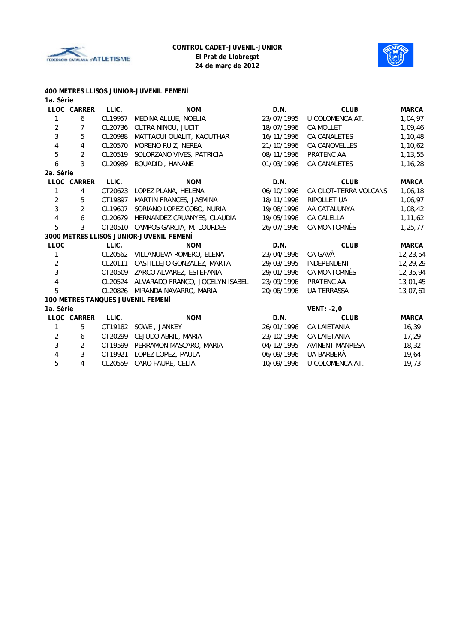



| 1a. Sèrie               |                         |         | 400 METRES LLISOS JUNIOR-JUVENIL FEMENI  |            |                        |              |
|-------------------------|-------------------------|---------|------------------------------------------|------------|------------------------|--------------|
|                         | LLOC CARRER             | LLIC.   | <b>NOM</b>                               | D.N.       | <b>CLUB</b>            | <b>MARCA</b> |
| 1                       | 6                       | CL19957 | MEDINA ALLUE, NOELIA                     | 23/07/1995 | U COLOMENCA AT.        | 1,04,97      |
| $\overline{2}$          | $\overline{7}$          | CL20736 | OLTRA NINOU, JUDIT                       | 18/07/1996 | CA MOLLET              | 1,09,46      |
| 3                       | 5                       | CL20988 | MATTAOUI OUALIT, KAOUTHAR                | 16/11/1996 | <b>CA CANALETES</b>    | 1,10,48      |
| 4                       | 4                       | CL20570 | MORENO RUIZ, NEREA                       | 21/10/1996 | CA CANOVELLES          | 1,10,62      |
| 5                       | $\overline{2}$          | CL20519 | SOLORZANO VIVES, PATRICIA                | 08/11/1996 | PRATENC AA             | 1,13,55      |
| 6                       | 3                       | CL20989 | <b>BOUADID, HANANE</b>                   | 01/03/1996 | <b>CA CANALETES</b>    | 1,16,28      |
| 2a. Sèrie               |                         |         |                                          |            |                        |              |
|                         | LLOC CARRER             | LLIC.   | <b>NOM</b>                               | D.N.       | <b>CLUB</b>            | <b>MARCA</b> |
| 1                       | 4                       | CT20623 | LOPEZ PLANA, HELENA                      | 06/10/1996 | CA OLOT-TERRA VOLCANS  | 1,06,18      |
| $\overline{2}$          | 5                       | CT19897 | MARTIN FRANCES, JASMINA                  | 18/11/1996 | <b>RIPOLLET UA</b>     | 1,06,97      |
| 3                       | $\overline{2}$          | CL19607 | SORIANO LOPEZ COBO, NURIA                | 19/08/1996 | AA CATALUNYA           | 1,08,42      |
| $\overline{\mathbf{4}}$ | 6                       | CL20679 | HERNANDEZ CRUANYES, CLAUDIA              | 19/05/1996 | CA CALELLA             | 1,11,62      |
| 5                       | 3                       | CT20510 | CAMPOS GARCIA, M. LOURDES                | 26/07/1996 | CA MONTORNÈS           | 1,25,77      |
|                         |                         |         | 3000 METRES LLISOS JUNIOR-JUVENIL FEMENÍ |            |                        |              |
| <b>LLOC</b>             |                         | LLIC.   | <b>NOM</b>                               | D.N.       | <b>CLUB</b>            | <b>MARCA</b> |
| 1                       |                         | CL20562 | VILLANUEVA ROMERO, ELENA                 | 23/04/1996 | CA GAVÀ                | 12,23,54     |
| $\overline{c}$          |                         | CL20111 | CASTILLEJO GONZALEZ, MARTA               | 29/03/1995 | INDEPENDENT            | 12,29,29     |
| 3                       |                         |         | CT20509 ZARCO ALVAREZ, ESTEFANIA         | 29/01/1996 | CA MONTORNÈS           | 12,35,94     |
| 4                       |                         | CL20524 | ALVARADO FRANCO, JOCELYN ISABEL          | 23/09/1996 | PRATENC AA             | 13,01,45     |
| 5                       |                         | CL20826 | MIRANDA NAVARRO, MARIA                   | 20/06/1996 | <b>UA TERRASSA</b>     | 13,07,61     |
|                         |                         |         | 100 METRES TANQUES JUVENIL FEMENÍ        |            |                        |              |
| 1a. Sèrie               |                         |         |                                          |            | VENT: $-2,0$           |              |
|                         | LLOC CARRER             | LLIC.   | <b>NOM</b>                               | D.N.       | <b>CLUB</b>            | <b>MARCA</b> |
| $\mathbf{1}$            | 5                       | CT19182 | SOWE, JANKEY                             | 26/01/1996 | CA LAIETANIA           | 16, 39       |
| $\overline{2}$          | 6                       | CT20299 | CEJUDO ABRIL, MARIA                      | 23/10/1996 | <b>CA LAIETANIA</b>    | 17,29        |
| 3                       | $\overline{2}$          | CT19599 | PERRAMON MASCARO, MARIA                  | 04/12/1995 | <b>AVINENT MANRESA</b> | 18,32        |
| 4                       | 3                       | CT19921 | LOPEZ LOPEZ, PAULA                       | 06/09/1996 | UA BARBERÀ             | 19,64        |
| 5                       | $\overline{\mathbf{4}}$ | CL20559 | CARO FAURE, CELIA                        | 10/09/1996 | U COLOMENCA AT.        | 19.73        |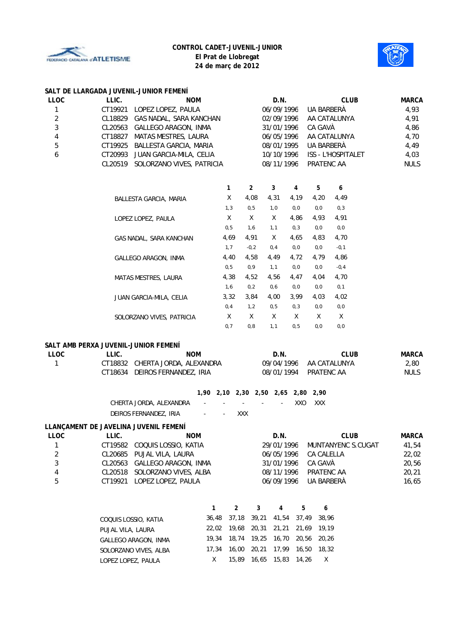



#### **SALT DE LLARGADA JUVENIL-JUNIOR FEMENÍ**

| LLOC | LLIC. | <b>NOM</b>                        | D.N.       | <b>CLUB</b>        | <b>MARCA</b> |
|------|-------|-----------------------------------|------------|--------------------|--------------|
|      |       | CT19921 LOPEZ LOPEZ, PAULA        | 06/09/1996 | UA BARBERÀ         | 4.93         |
| 2    |       | CL18829 GAS NADAL, SARA KANCHAN   | 02/09/1996 | AA CATALUNYA       | 4,91         |
| 3    |       | CL20563 GALLEGO ARAGON, INMA      | 31/01/1996 | CA GAVÀ            | 4.86         |
| 4    |       | CT18827 MATAS MESTRES, LAURA      | 06/05/1996 | AA CATALUNYA       | 4,70         |
| 5    |       | CT19925 BALLESTA GARCIA, MARIA    | 08/01/1995 | UA BARBERÀ         | 4.49         |
| 6    |       | CT20993 JUAN GARCIA-MILA, CELIA   | 10/10/1996 | ISS - L'HOSPITALET | 4.03         |
|      |       | CL20519 SOLORZANO VIVES, PATRICIA | 08/11/1996 | PRATENC AA         | <b>NULS</b>  |
|      |       |                                   |            |                    |              |

|                             | 1    | $\overline{2}$ | 3    | 4    | 5    | 6       |
|-----------------------------|------|----------------|------|------|------|---------|
| BALLESTA GARCIA, MARIA      | X    | 4,08           | 4,31 | 4,19 | 4,20 | 4,49    |
|                             | 1, 3 | 0,5            | 1,0  | 0,0  | 0,0  | 0, 3    |
| LOPEZ LOPEZ, PAULA          | X    | X              | X    | 4,86 | 4,93 | 4,91    |
|                             | 0, 5 | 1,6            | 1,1  | 0, 3 | 0,0  | 0,0     |
| GAS NADAL, SARA KANCHAN     | 4,69 | 4,91           | X    | 4,65 | 4,83 | 4,70    |
|                             | 1, 7 | $-0,2$         | 0,4  | 0,0  | 0,0  | $-0, 1$ |
| <b>GALLEGO ARAGON, INMA</b> | 4,40 | 4,58           | 4,49 | 4,72 | 4,79 | 4,86    |
|                             | 0,5  | 0, 9           | 1, 1 | 0,0  | 0,0  | $-0, 4$ |
| MATAS MESTRES, LAURA        | 4,38 | 4,52           | 4,56 | 4,47 | 4,04 | 4,70    |
|                             | 1,6  | 0,2            | 0,6  | 0,0  | 0,0  | 0, 1    |
| JUAN GARCIA-MILA, CELIA     | 3,32 | 3.84           | 4,00 | 3.99 | 4,03 | 4,02    |
|                             | 0,4  | 1,2            | 0,5  | 0, 3 | 0,0  | 0,0     |
| SOLORZANO VIVES, PATRICIA   | X    | X              | X    | X    | X    | X       |
|                             | 0,7  | 0,8            | 1, 1 | 0, 5 | 0,0  | 0,0     |

#### **SALT AMB PERXA JUVENIL-JUNIOR FEMENÍ**

| <b>LLOC</b>             | LLIC.              | <b>NOM</b>                            |                                    |                |       | D.N.                  |       | <b>CLUB</b>        |             | <b>MARCA</b> |  |
|-------------------------|--------------------|---------------------------------------|------------------------------------|----------------|-------|-----------------------|-------|--------------------|-------------|--------------|--|
| 1                       | CT18832            | CHERTA JORDA, ALEXANDRA               |                                    |                |       | 09/04/1996            |       | AA CATALUNYA       |             | 2,80         |  |
|                         | CT18634            | DEIROS FERNANDEZ, IRIA                |                                    |                |       | 08/01/1994            |       | PRATENC AA         |             | <b>NULS</b>  |  |
|                         |                    |                                       | 1,90 2,10 2,30 2,50 2,65 2,80 2,90 |                |       |                       |       |                    |             |              |  |
|                         |                    | CHERTA JORDA, ALEXANDRA               |                                    |                |       |                       | XXO   | XXX                |             |              |  |
|                         |                    | DEIROS FERNANDEZ, IRIA                |                                    | XXX            |       |                       |       |                    |             |              |  |
|                         |                    | LLANCAMENT DE JAVELINA JUVENIL FEMENÍ |                                    |                |       |                       |       |                    |             |              |  |
| <b>LLOC</b>             | LLIC.              |                                       | <b>NOM</b>                         |                |       | D.N.                  |       |                    | <b>CLUB</b> | <b>MARCA</b> |  |
| 1                       | CT19582            | COQUIS LOSSIO, KATIA                  |                                    |                |       | 29/01/1996            |       | MUNTANYENC S.CUGAT |             | 41,54        |  |
| $\sqrt{2}$              | CL20685            | PUJAL VILA, LAURA                     |                                    |                |       | 06/05/1996            |       | CA CALELLA         |             | 22,02        |  |
| 3                       | CL20563            |                                       | GALLEGO ARAGON, INMA               |                |       | 31/01/1996<br>CA GAVÀ |       |                    |             | 20,56        |  |
| $\overline{\mathbf{4}}$ | CL20518            | SOLORZANO VIVES, ALBA                 |                                    |                |       | 08/11/1996            |       | PRATENC AA         |             | 20,21        |  |
| 5                       | CT19921            | LOPEZ LOPEZ, PAULA                    |                                    |                |       | 06/09/1996            |       | UA BARBERÀ         |             | 16,65        |  |
|                         |                    |                                       |                                    |                |       |                       |       |                    |             |              |  |
|                         |                    |                                       | 1                                  | $\overline{2}$ | 3     | 4                     | 5     | 6                  |             |              |  |
|                         |                    | COQUIS LOSSIO, KATIA                  | 36,48                              | 37,18          | 39,21 | 41,54                 | 37,49 | 38,96              |             |              |  |
|                         | PUJAL VILA, LAURA  |                                       | 22,02                              | 19,68          | 20,31 | 21,21                 | 21,69 | 19,19              |             |              |  |
|                         |                    | GALLEGO ARAGON, INMA                  |                                    | 18,74<br>19,34 | 19,25 | 16,70                 | 20,56 | 20.26              |             |              |  |
|                         |                    | SOLORZANO VIVES, ALBA                 | 17,34                              | 16,00          | 20,21 | 17,99                 | 16,50 | 18,32              |             |              |  |
|                         | LOPEZ LOPEZ, PAULA |                                       | X                                  | 15,89          |       | 16,65 15,83 14,26     |       | X                  |             |              |  |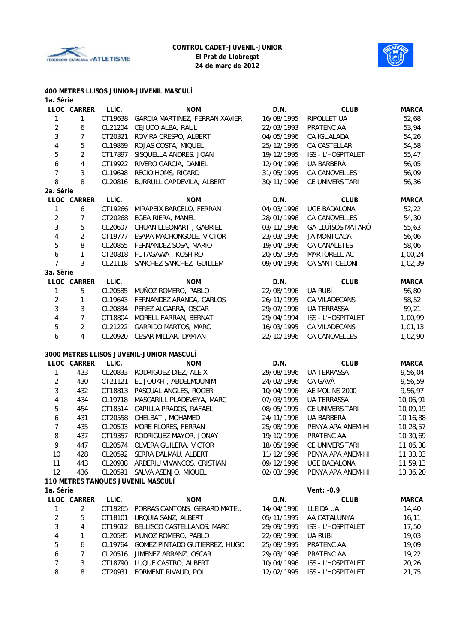



# **400 METRES LLISOS JUNIOR-JUVENIL MASCULÍ**

| 1a. Sèrie      |                |         |                                           |            |                          |              |
|----------------|----------------|---------|-------------------------------------------|------------|--------------------------|--------------|
|                | LLOC CARRER    | LLIC.   | <b>NOM</b>                                | D.N.       | <b>CLUB</b>              | <b>MARCA</b> |
| 1              | 1              | CT19638 | GARCIA MARTINEZ, FERRAN XAVIER            | 16/08/1995 | RIPOLLET UA              | 52,68        |
| $\sqrt{2}$     | 6              | CL21204 | CEJUDO ALBA, RAUL                         | 22/03/1993 | PRATENC AA               | 53,94        |
| 3              | 7              | CT20321 | ROVIRA CRESPO, ALBERT                     | 04/05/1996 | CA IGUALADA              | 54,26        |
| 4              | 5              | CL19869 | ROJAS COSTA, MIQUEL                       | 25/12/1995 | CA CASTELLAR             | 54,58        |
| 5              | $\overline{2}$ | CT17897 | SISQUELLA ANDRES, JOAN                    | 19/12/1995 | ISS - L'HOSPITALET       | 55,47        |
| 6              | 4              | CT19922 | RIVERO GARCIA, DANIEL                     | 12/04/1996 | UA BARBERÀ               | 56,05        |
| 7              | 3              | CL19698 | RECIO HOMS, RICARD                        | 31/05/1995 | CA CANOVELLES            | 56,09        |
| 8              | 8              | CL20816 | BURRULL CAPDEVILA, ALBERT                 | 30/11/1996 | CE UNIVERSITARI          | 56,36        |
| 2a. Sèrie      |                |         |                                           |            |                          |              |
|                | LLOC CARRER    | LLIC.   | <b>NOM</b>                                | D.N.       | <b>CLUB</b>              | <b>MARCA</b> |
| 1              | 6              | CT19266 | MIRAPEIX BARCELO, FERRAN                  | 04/03/1996 | <b>UGE BADALONA</b>      | 52,22        |
| $\overline{2}$ | $\overline{7}$ | CT20268 | EGEA RIERA, MANEL                         | 28/01/1996 | CA CANOVELLES            | 54,30        |
| 3              | 5              | CL20607 | CHUAN LLEONART, GABRIEL                   | 03/11/1996 | <b>GA LLUÏSOS MATARÓ</b> | 55,63        |
| 4              | $\overline{c}$ | CT19777 | ESAPA MACHONGOLE, VICTOR                  | 23/03/1996 | <b>JA MONTCADA</b>       | 56,06        |
| 5              | 8              | CL20855 | FERNANDEZ SOSA, MARIO                     | 19/04/1996 | CA CANALETES             | 58,06        |
| 6              | 1              | CT20818 | FUTAGAWA, KOSHIRO                         | 20/05/1995 | MARTORELL AC             | 1,00,24      |
| $\overline{7}$ | 3              | CL21118 | SANCHEZ SANCHEZ, GUILLEM                  | 09/04/1996 | CA SANT CELONI           | 1,02,39      |
| 3a. Sèrie      |                |         |                                           |            |                          |              |
|                | LLOC CARRER    | LLIC.   | <b>NOM</b>                                | D.N.       | <b>CLUB</b>              | <b>MARCA</b> |
| 1              | 5              | CL20585 | MUÑOZ ROMERO, PABLO                       | 22/08/1996 | UA RUBÍ                  | 56,80        |
| $\overline{2}$ | 1              | CL19643 | FERNANDEZ ARANDA, CARLOS                  | 26/11/1995 | CA VILADECANS            | 58,52        |
| 3              | 3              | CL20834 | PEREZ ALGARRA, OSCAR                      | 29/07/1996 | <b>UA TERRASSA</b>       | 59,21        |
| 4              | $\overline{7}$ | CT18804 | MORELL FARRAN, BERNAT                     | 29/04/1994 | ISS - L'HOSPITALET       | 1,00,99      |
| 5              | $\overline{2}$ | CL21222 | <b>GARRIDO MARTOS, MARC</b>               | 16/03/1995 | CA VILADECANS            | 1,01,13      |
| 6              | 4              | CL20920 | CESAR MILLAR, DAMIAN                      | 22/10/1996 | CA CANOVELLES            | 1,02,90      |
|                |                |         |                                           |            |                          |              |
|                |                |         | 3000 METRES LLISOS JUVENIL-JUNIOR MASCULÍ |            |                          |              |
|                | LLOC CARRER    | LLIC.   | <b>NOM</b>                                | D.N.       | <b>CLUB</b>              | <b>MARCA</b> |
| 1              | 433            | CL20833 | RODRIGUEZ DIEZ, ALEIX                     | 29/08/1996 | UA TERRASSA              | 9,56,04      |
| $\overline{2}$ | 430            | CT21121 | EL JOUKH, ABDELMOUNIM                     | 24/02/1996 | CA GAVÀ                  | 9,56,59      |
| 3              | 432            | CT18813 | PASCUAL ANGLES, ROGER                     | 10/04/1996 | AE MOLINS 2000           | 9,56,97      |
| 4              | 434            | CL19718 | MASCARILL PLADEVEYA, MARC                 | 07/03/1995 | <b>UA TERRASSA</b>       | 10,06,91     |
| 5              | 454            | CT18514 | CAPILLA PRADOS, RAFAEL                    | 08/05/1995 | CE UNIVERSITARI          | 10,09,19     |
| 6              | 431            | CT20558 | CHELBAT, MOHAMED                          | 24/11/1996 | UA BARBERÀ               | 10,16,88     |
| 7              | 435            | CL20593 | MORE FLORES, FERRAN                       | 25/08/1996 | PENYA APA ANEM-HI        |              |
|                |                |         |                                           |            |                          | 10,28,57     |
| 8              | 437            | CT19357 | RODRIGUEZ MAYOR, JONAY                    | 19/10/1996 | PRATENC AA               | 10,30,69     |
| 9              | 447            |         | CL20574 OLVERA GUILERA, VICTOR            | 18/05/1996 | CE UNIVERSITARI          | 11,06,38     |
| 10             | 428            |         | CL20592 SERRA DALMAU, ALBERT              | 11/12/1996 | PENYA APA ANEM-HI        | 11,33,03     |
| 11             | 443            |         | CL20938 ARDERIU VIVANCOS, CRISTIAN        | 09/12/1996 | UGE BADALONA             | 11,59,13     |
| 12             | 436            |         | CL20591 SALVA ASENJO, MIQUEL              | 02/03/1996 | PENYA APA ANEM-HI        | 13,36,20     |
|                |                |         | 110 METRES TANQUES JUVENIL MASCULÍ        |            |                          |              |
| 1a. Sèrie      |                |         |                                           |            | Vent: -0,9               |              |
|                | LLOC CARRER    | LLIC.   | <b>NOM</b>                                | D.N.       | <b>CLUB</b>              | <b>MARCA</b> |
| 1              | 2              |         | CT19265 PORRAS CANTONS, GERARD MATEU      | 14/04/1996 | LLEIDA UA                | 14,40        |
| $\overline{2}$ | 5              | CT18101 | URQUIA SANZ, ALBERT                       | 05/11/1995 | AA CATALUNYA             | 16, 11       |
| 3              | 4              | CT19612 | BELLISCO CASTELLANOS, MARC                | 29/09/1995 | ISS - L'HOSPITALET       | 17,50        |
| 4              | 1              | CL20585 | MUÑOZ ROMERO, PABLO                       | 22/08/1996 | UA RUBÍ                  | 19,03        |
| 5              | 6              | CL19764 | GOMEZ PINTADO GUTIERREZ, HUGO             | 25/08/1995 | PRATENC AA               | 19,09        |
| 6              | 7              | CL20516 | JIMENEZ ARRANZ, OSCAR                     | 29/03/1996 | PRATENC AA               | 19,22        |
| 7              | 3              | CT18790 | LUQUE CASTRO, ALBERT                      | 10/04/1996 | ISS - L'HOSPITALET       | 20,26        |
| 8              | 8              | CT20931 | FORMENT RIVAUD, POL                       | 12/02/1995 | ISS - L'HOSPITALET       | 21,75        |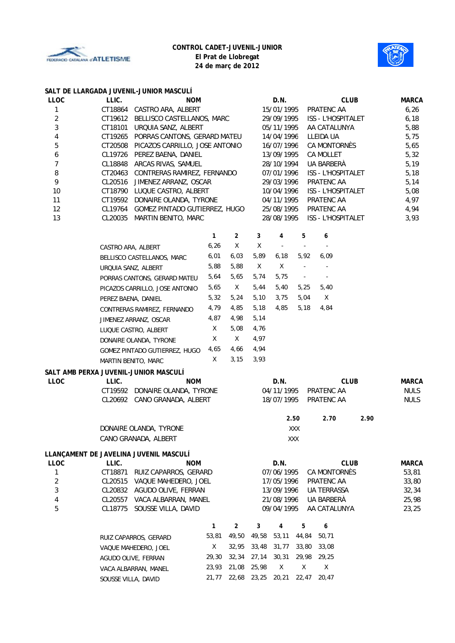



|  | SALT DE LLARGADA JUVENIL-JUNIOR MASCULÍ |  |  |
|--|-----------------------------------------|--|--|
|  |                                         |  |  |

|                |                                       | SALT DE LLANGADA JUVENIL-JUNIUN MASCULI                                         |              |                |                          |                          |                          |                           |              |                            |
|----------------|---------------------------------------|---------------------------------------------------------------------------------|--------------|----------------|--------------------------|--------------------------|--------------------------|---------------------------|--------------|----------------------------|
| <b>LLOC</b>    | LLIC.                                 | <b>NOM</b>                                                                      |              |                |                          | D.N.                     |                          | <b>CLUB</b>               | <b>MARCA</b> |                            |
| 1              |                                       | CT18864 CASTRO ARA, ALBERT                                                      |              |                |                          |                          | 15/01/1995               | PRATENC AA                |              | 6,26                       |
| $\overline{2}$ |                                       | CT19612 BELLISCO CASTELLANOS, MARC                                              |              |                |                          | 29/09/1995               |                          | <b>ISS - L'HOSPITALET</b> |              | 6, 18                      |
| $\mathbf{3}$   |                                       | CT18101 URQUIA SANZ, ALBERT                                                     |              |                |                          | 05/11/1995               |                          | AA CATALUNYA              |              | 5,88                       |
| 4              |                                       | CT19265 PORRAS CANTONS, GERARD MATEU                                            |              |                |                          | 14/04/1996               |                          | LLEIDA UA                 |              | 5,75                       |
| 5              |                                       | CT20508 PICAZOS CARRILLO, JOSE ANTONIO                                          |              |                |                          | 16/07/1996               |                          | CA MONTORNÈS              |              | 5,65                       |
| 6              |                                       | CL19726 PEREZ BAENA, DANIEL                                                     |              |                | 13/09/1995<br>CA MOLLET  |                          |                          |                           | 5,32         |                            |
| $\overline{7}$ |                                       | CL18848 ARCAS RIVAS, SAMUEL                                                     |              |                |                          | 28/10/1994<br>UA BARBERÀ |                          |                           |              | 5,19                       |
| 8              |                                       | CT20463 CONTRERAS RAMIREZ, FERNANDO                                             |              |                |                          | 07/01/1996               |                          | ISS - L'HOSPITALET        | 5,18         |                            |
| 9              |                                       | CL20516 JIMENEZ ARRANZ, OSCAR                                                   |              |                | 29/03/1996<br>PRATENC AA |                          |                          |                           |              | 5,14                       |
| 10             |                                       | CT18790 LUQUE CASTRO, ALBERT                                                    |              |                |                          | 10/04/1996               | ISS - L'HOSPITALET       | 5,08                      |              |                            |
| 11             |                                       | CT19592 DONAIRE OLANDA, TYRONE                                                  |              |                |                          | 04/11/1995               |                          | PRATENC AA                |              | 4,97                       |
| 12             |                                       | CL19764 GOMEZ PINTADO GUTIERREZ, HUGO                                           |              |                |                          | 25/08/1995               |                          | PRATENC AA                |              | 4,94                       |
| 13             |                                       | CL20035 MARTIN BENITO, MARC                                                     |              |                |                          | 28/08/1995               |                          | ISS - L'HOSPITALET        |              | 3,93                       |
|                |                                       |                                                                                 | $\mathbf{1}$ | $\overline{2}$ | 3                        | 4                        | 5                        | 6                         |              |                            |
|                | CASTRO ARA, ALBERT                    |                                                                                 | 6, 26        | Χ              | Χ                        | $\sim$                   | $\overline{\phantom{a}}$ | $\overline{\phantom{a}}$  |              |                            |
|                |                                       | BELLISCO CASTELLANOS, MARC                                                      | 6,01         | 6,03           | 5,89                     | 6, 18                    | 5,92                     | 6,09                      |              |                            |
|                | URQUIA SANZ, ALBERT                   |                                                                                 | 5,88         | 5,88           | Χ                        | Χ                        | $\blacksquare$           |                           |              |                            |
|                |                                       |                                                                                 | 5,64         | 5,65           | 5,74                     | 5,75                     | $\sim$ $-$               | $\overline{\phantom{a}}$  |              |                            |
|                |                                       | PORRAS CANTONS, GERARD MATEU                                                    |              |                |                          |                          |                          |                           |              |                            |
|                |                                       | PICAZOS CARRILLO, JOSE ANTONIO                                                  | 5,65         | X              | 5,44                     | 5,40                     | 5,25                     | 5,40                      |              |                            |
|                | PEREZ BAENA, DANIEL                   |                                                                                 | 5,32         | 5,24           | 5,10                     | 3,75                     | 5,04                     | Χ                         |              |                            |
|                |                                       | CONTRERAS RAMIREZ, FERNANDO                                                     | 4,79         | 4,85           | 5,18                     | 4,85                     | 5,18                     | 4,84                      |              |                            |
|                |                                       | JIMENEZ ARRANZ, OSCAR                                                           |              |                | 5,14                     |                          |                          |                           |              |                            |
|                |                                       | LUQUE CASTRO, ALBERT<br>DONAIRE OLANDA, TYRONE<br>GOMEZ PINTADO GUTIERREZ, HUGO |              | 5,08           | 4,76                     |                          |                          |                           |              |                            |
|                |                                       |                                                                                 |              | $\mathsf{X}$   | 4,97                     |                          |                          |                           |              |                            |
|                |                                       |                                                                                 |              | 4,66           | 4,94                     |                          |                          |                           |              |                            |
|                | MARTIN BENITO, MARC                   |                                                                                 | 4,65<br>X    | 3,15           | 3,93                     |                          |                          |                           |              |                            |
|                | SALT AMB PERXA JUVENIL-JUNIOR MASCULÍ |                                                                                 |              |                |                          |                          |                          |                           |              |                            |
| <b>LLOC</b>    | LLIC.                                 | <b>NOM</b>                                                                      |              |                |                          | D.N.                     |                          |                           | <b>CLUB</b>  | <b>MARCA</b>               |
|                |                                       | CT19592 DONAIRE OLANDA, TYRONE<br>CL20692 CANO GRANADA, ALBERT                  |              |                |                          | 04/11/1995<br>18/07/1995 |                          | PRATENC AA<br>PRATENC AA  |              | <b>NULS</b><br><b>NULS</b> |
|                |                                       |                                                                                 |              |                |                          |                          | 2.50                     | 2.70                      | 2.90         |                            |
|                |                                       | DONAIRE OLANDA, TYRONE                                                          |              |                | XXX                      |                          |                          |                           |              |                            |
|                |                                       | CANO GRANADA, ALBERT                                                            |              |                |                          |                          | XXX                      |                           |              |                            |
|                |                                       | LLANÇAMENT DE JAVELINA JUVENIL MASCULÍ                                          |              |                |                          |                          |                          |                           |              |                            |
| <b>LLOC</b>    | LLIC.                                 | <b>NOM</b>                                                                      |              |                |                          | D.N.                     |                          |                           | <b>CLUB</b>  | <b>MARCA</b>               |
| 1              | CT18871                               | RUIZ CAPARROS, GERARD                                                           |              |                |                          | 07/06/1995               |                          | CA MONTORNÈS              |              | 53,81                      |
| $\overline{c}$ | CL20515                               | VAQUE MAHEDERO, JOEL                                                            |              |                |                          | 17/05/1996               |                          | PRATENC AA                |              | 33,80                      |
| 3              |                                       | CL20832 AGUDO OLIVE, FERRAN                                                     |              |                |                          | 13/09/1996               |                          | UA TERRASSA               |              | 32,34                      |
| 4              | CL20557                               | VACA ALBARRAN, MANEL                                                            |              |                |                          | 21/08/1996               |                          | UA BARBERÀ                |              | 25,98                      |
| 5              | CL18775                               | SOUSSE VILLA, DAVID                                                             |              |                |                          | 09/04/1995               |                          | AA CATALUNYA              |              | 23,25                      |
|                |                                       |                                                                                 | $\mathbf{1}$ | $\overline{2}$ | 3                        | 4                        | 5                        | 6                         |              |                            |
|                |                                       | RUIZ CAPARROS, GERARD                                                           | 53,81        | 49,50          | 49,58                    | 53,11                    | 44,84                    | 50,71                     |              |                            |
|                | VAQUE MAHEDERO, JOEL                  |                                                                                 | X            | 32,95          | 33,48                    | 31,77                    | 33,80                    | 33,08                     |              |                            |
|                | AGUDO OLIVE, FERRAN                   |                                                                                 | 29,30        | 32,34          | 27,14                    | 30, 31                   | 29,98                    | 29,25                     |              |                            |
|                |                                       | VACA ALBARRAN, MANEL                                                            |              |                | 25,98                    | X                        | Χ                        | X                         |              |                            |
|                | SOUSSE VILLA, DAVID                   |                                                                                 | 21,77        |                | 22,68 23,25 20,21        |                          | 22,47                    | 20,47                     |              |                            |
|                |                                       |                                                                                 |              |                |                          |                          |                          |                           |              |                            |